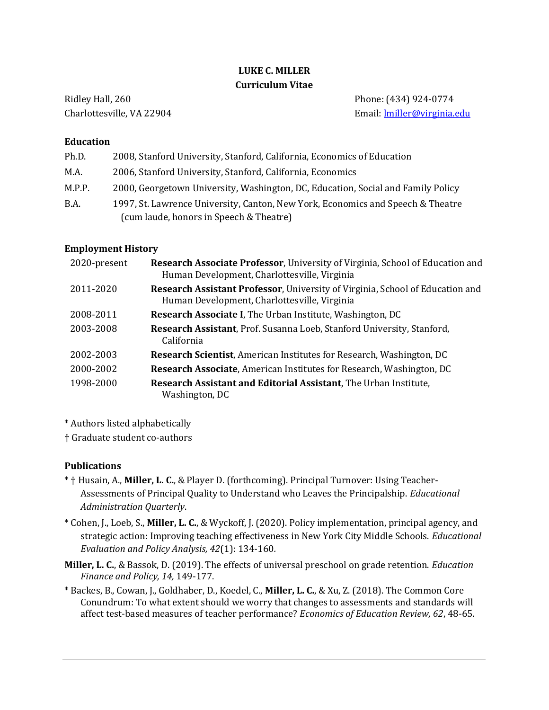# LUKE C. MILLER Curriculum Vitae

Ridley Hall, 260 Phone: (434) 924-0774 Charlottesville, VA 22904 Email: lmiller@virginia.edu

### Education

| Ph.D.  | 2008, Stanford University, Stanford, California, Economics of Education          |  |
|--------|----------------------------------------------------------------------------------|--|
| M.A.   | 2006, Stanford University, Stanford, California, Economics                       |  |
| M.P.P. | 2000, Georgetown University, Washington, DC, Education, Social and Family Policy |  |
| B.A.   | 1997, St. Lawrence University, Canton, New York, Economics and Speech & Theatre  |  |
|        | (cum laude, honors in Speech & Theatre)                                          |  |

# Employment History

| 2020-present | Research Associate Professor, University of Virginia, School of Education and<br>Human Development, Charlottesville, Virginia        |  |
|--------------|--------------------------------------------------------------------------------------------------------------------------------------|--|
| 2011-2020    | <b>Research Assistant Professor, University of Virginia, School of Education and</b><br>Human Development, Charlottesville, Virginia |  |
| 2008-2011    | Research Associate I, The Urban Institute, Washington, DC                                                                            |  |
| 2003-2008    | Research Assistant, Prof. Susanna Loeb, Stanford University, Stanford,<br><b>California</b>                                          |  |
| 2002-2003    | <b>Research Scientist, American Institutes for Research, Washington, DC</b>                                                          |  |
| 2000-2002    | <b>Research Associate, American Institutes for Research, Washington, DC</b>                                                          |  |
| 1998-2000    | Research Assistant and Editorial Assistant, The Urban Institute,<br>Washington, DC                                                   |  |

\* Authors listed alphabetically

† Graduate student co-authors

# **Publications**

- \* † Husain, A., Miller, L. C., & Player D. (forthcoming). Principal Turnover: Using Teacher-Assessments of Principal Quality to Understand who Leaves the Principalship. Educational Administration Quarterly.
- \* Cohen, J., Loeb, S., Miller, L. C., & Wyckoff, J. (2020). Policy implementation, principal agency, and strategic action: Improving teaching effectiveness in New York City Middle Schools. Educational Evaluation and Policy Analysis, 42(1): 134-160.
- Miller, L. C., & Bassok, D. (2019). The effects of universal preschool on grade retention. *Education* Finance and Policy, 14, 149-177.
- \* Backes, B., Cowan, J., Goldhaber, D., Koedel, C., Miller, L. C., & Xu, Z. (2018). The Common Core Conundrum: To what extent should we worry that changes to assessments and standards will affect test-based measures of teacher performance? Economics of Education Review, 62, 48-65.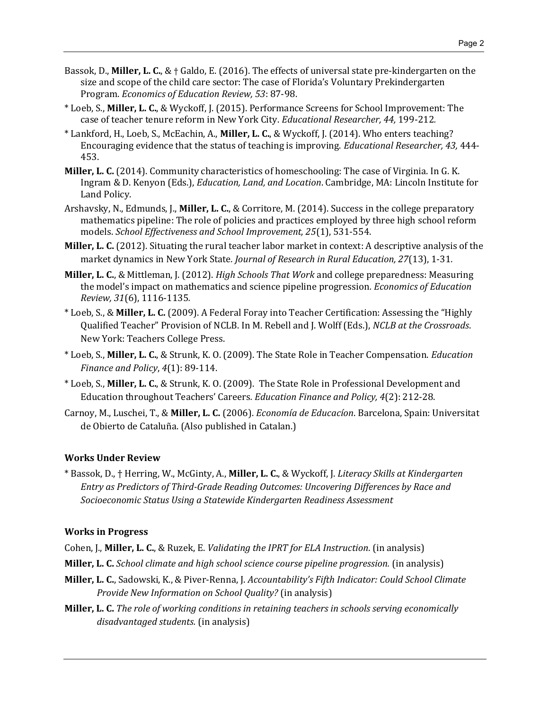- Bassok, D., Miller, L. C.,  $\&$  † Galdo, E. (2016). The effects of universal state pre-kindergarten on the size and scope of the child care sector: The case of Florida's Voluntary Prekindergarten Program. Economics of Education Review, 53: 87-98.
- \* Loeb, S., Miller, L. C., & Wyckoff, J. (2015). Performance Screens for School Improvement: The case of teacher tenure reform in New York City. Educational Researcher, 44, 199-212.
- \* Lankford, H., Loeb, S., McEachin, A., Miller, L. C., & Wyckoff, J. (2014). Who enters teaching? Encouraging evidence that the status of teaching is improving. Educational Researcher, 43, 444- 453.
- Miller, L. C. (2014). Community characteristics of homeschooling: The case of Virginia. In G. K. Ingram & D. Kenyon (Eds.), Education, Land, and Location. Cambridge, MA: Lincoln Institute for Land Policy.
- Arshavsky, N., Edmunds, J., Miller, L. C., & Corritore, M. (2014). Success in the college preparatory mathematics pipeline: The role of policies and practices employed by three high school reform models. School Effectiveness and School Improvement, 25(1), 531-554.
- Miller, L. C. (2012). Situating the rural teacher labor market in context: A descriptive analysis of the market dynamics in New York State. Journal of Research in Rural Education, 27(13), 1-31.
- Miller, L. C., & Mittleman, J. (2012). *High Schools That Work* and college preparedness: Measuring the model's impact on mathematics and science pipeline progression. Economics of Education Review, 31(6), 1116-1135.
- \* Loeb, S., & Miller, L. C. (2009). A Federal Foray into Teacher Certification: Assessing the "Highly Qualified Teacher" Provision of NCLB. In M. Rebell and J. Wolff (Eds.), NCLB at the Crossroads. New York: Teachers College Press.
- \* Loeb, S., Miller, L. C., & Strunk, K. O. (2009). The State Role in Teacher Compensation. Education Finance and Policy, 4(1): 89-114.
- \* Loeb, S., Miller, L. C., & Strunk, K. O. (2009). The State Role in Professional Development and Education throughout Teachers' Careers. Education Finance and Policy, 4(2): 212-28.
- Carnoy, M., Luschei, T., & Miller, L. C. (2006). Economía de Educacíon. Barcelona, Spain: Universitat de Obierto de Cataluña. (Also published in Catalan.)

# Works Under Review

\* Bassok, D., † Herring, W., McGinty, A., Miller, L. C., & Wyckoff, J. Literacy Skills at Kindergarten Entry as Predictors of Third-Grade Reading Outcomes: Uncovering Differences by Race and Socioeconomic Status Using a Statewide Kindergarten Readiness Assessment

#### Works in Progress

- Cohen, J., Miller, L. C., & Ruzek, E. Validating the IPRT for ELA Instruction. (in analysis)
- Miller, L. C. School climate and high school science course pipeline progression. (in analysis)
- Miller, L. C., Sadowski, K., & Piver-Renna, J. Accountability's Fifth Indicator: Could School Climate Provide New Information on School Quality? (in analysis)
- Miller, L. C. The role of working conditions in retaining teachers in schools serving economically disadvantaged students. (in analysis)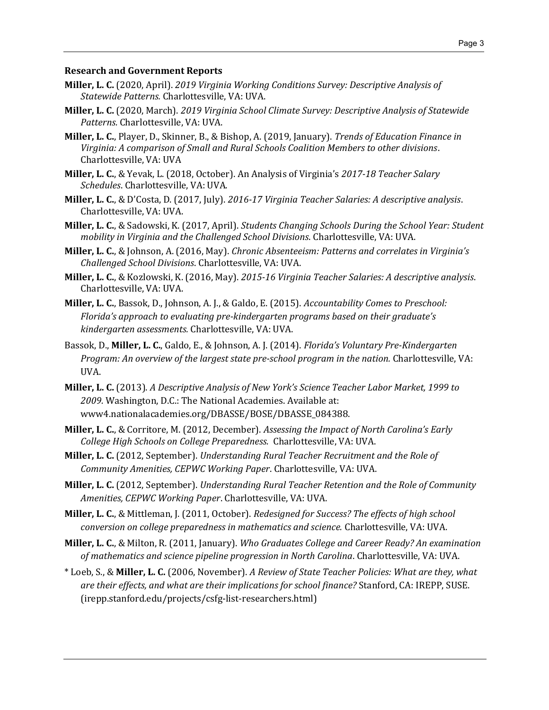#### Research and Government Reports

- Miller, L. C. (2020, April). 2019 Virginia Working Conditions Survey: Descriptive Analysis of Statewide Patterns. Charlottesville, VA: UVA.
- Miller, L. C. (2020, March). 2019 Virginia School Climate Survey: Descriptive Analysis of Statewide Patterns. Charlottesville, VA: UVA.
- Miller, L. C., Player, D., Skinner, B., & Bishop, A. (2019, January). Trends of Education Finance in Virginia: A comparison of Small and Rural Schools Coalition Members to other divisions. Charlottesville, VA: UVA
- Miller, L. C., & Yevak, L. (2018, October). An Analysis of Virginia's 2017-18 Teacher Salary Schedules. Charlottesville, VA: UVA.
- Miller, L. C., & D'Costa, D. (2017, July). 2016-17 Virginia Teacher Salaries: A descriptive analysis. Charlottesville, VA: UVA.
- Miller, L. C., & Sadowski, K. (2017, April). Students Changing Schools During the School Year: Student mobility in Virginia and the Challenged School Divisions. Charlottesville, VA: UVA.
- Miller, L. C., & Johnson, A. (2016, May). Chronic Absenteeism: Patterns and correlates in Virginia's Challenged School Divisions. Charlottesville, VA: UVA.
- Miller, L. C., & Kozlowski, K. (2016, May). 2015-16 Virginia Teacher Salaries: A descriptive analysis. Charlottesville, VA: UVA.
- Miller, L. C., Bassok, D., Johnson, A. J., & Galdo, E. (2015). Accountability Comes to Preschool: Florida's approach to evaluating pre-kindergarten programs based on their graduate's kindergarten assessments. Charlottesville, VA: UVA.
- Bassok, D., Miller, L. C., Galdo, E., & Johnson, A. J. (2014). Florida's Voluntary Pre-Kindergarten Program: An overview of the largest state pre-school program in the nation. Charlottesville, VA: UVA.
- Miller, L. C. (2013). A Descriptive Analysis of New York's Science Teacher Labor Market, 1999 to 2009. Washington, D.C.: The National Academies. Available at: www4.nationalacademies.org/DBASSE/BOSE/DBASSE\_084388.
- Miller, L. C., & Corritore, M. (2012, December). Assessing the Impact of North Carolina's Early College High Schools on College Preparedness. Charlottesville, VA: UVA.
- Miller, L. C. (2012, September). Understanding Rural Teacher Recruitment and the Role of Community Amenities, CEPWC Working Paper. Charlottesville, VA: UVA.
- Miller, L. C. (2012, September). Understanding Rural Teacher Retention and the Role of Community Amenities, CEPWC Working Paper. Charlottesville, VA: UVA.
- Miller, L. C., & Mittleman, J. (2011, October). Redesigned for Success? The effects of high school conversion on college preparedness in mathematics and science. Charlottesville, VA: UVA.
- Miller, L. C., & Milton, R. (2011, January). Who Graduates College and Career Ready? An examination of mathematics and science pipeline progression in North Carolina. Charlottesville, VA: UVA.
- \* Loeb, S., & Miller, L. C. (2006, November). A Review of State Teacher Policies: What are they, what are their effects, and what are their implications for school finance? Stanford, CA: IREPP, SUSE. (irepp.stanford.edu/projects/csfg-list-researchers.html)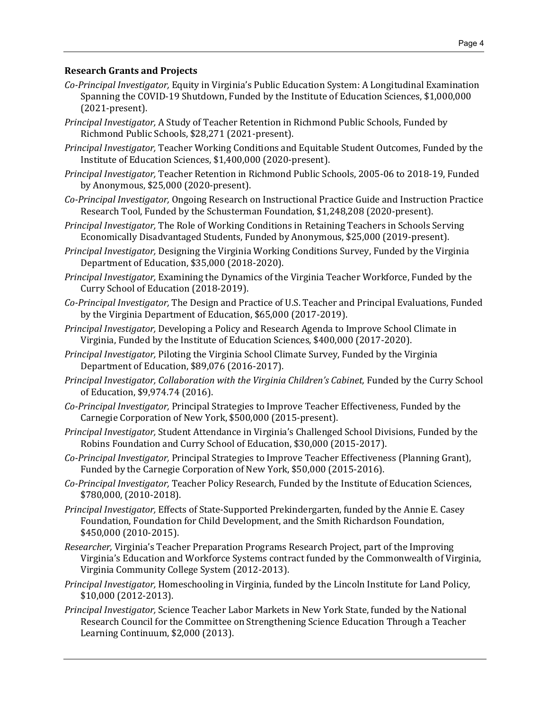### Research Grants and Projects

- Co-Principal Investigator, Equity in Virginia's Public Education System: A Longitudinal Examination Spanning the COVID-19 Shutdown, Funded by the Institute of Education Sciences, \$1,000,000 (2021-present).
- Principal Investigator, A Study of Teacher Retention in Richmond Public Schools, Funded by Richmond Public Schools, \$28,271 (2021-present).
- Principal Investigator, Teacher Working Conditions and Equitable Student Outcomes, Funded by the Institute of Education Sciences, \$1,400,000 (2020-present).
- Principal Investigator, Teacher Retention in Richmond Public Schools, 2005-06 to 2018-19, Funded by Anonymous, \$25,000 (2020-present).
- Co-Principal Investigator, Ongoing Research on Instructional Practice Guide and Instruction Practice Research Tool, Funded by the Schusterman Foundation, \$1,248,208 (2020-present).
- Principal Investigator, The Role of Working Conditions in Retaining Teachers in Schools Serving Economically Disadvantaged Students, Funded by Anonymous, \$25,000 (2019-present).
- Principal Investigator, Designing the Virginia Working Conditions Survey, Funded by the Virginia Department of Education, \$35,000 (2018-2020).
- Principal Investigator, Examining the Dynamics of the Virginia Teacher Workforce, Funded by the Curry School of Education (2018-2019).
- Co-Principal Investigator, The Design and Practice of U.S. Teacher and Principal Evaluations, Funded by the Virginia Department of Education, \$65,000 (2017-2019).
- Principal Investigator, Developing a Policy and Research Agenda to Improve School Climate in Virginia, Funded by the Institute of Education Sciences, \$400,000 (2017-2020).
- Principal Investigator, Piloting the Virginia School Climate Survey, Funded by the Virginia Department of Education, \$89,076 (2016-2017).
- Principal Investigator, Collaboration with the Virginia Children's Cabinet, Funded by the Curry School of Education, \$9,974.74 (2016).
- Co-Principal Investigator, Principal Strategies to Improve Teacher Effectiveness, Funded by the Carnegie Corporation of New York, \$500,000 (2015-present).
- Principal Investigator, Student Attendance in Virginia's Challenged School Divisions, Funded by the Robins Foundation and Curry School of Education, \$30,000 (2015-2017).
- Co-Principal Investigator, Principal Strategies to Improve Teacher Effectiveness (Planning Grant), Funded by the Carnegie Corporation of New York, \$50,000 (2015-2016).
- Co-Principal Investigator, Teacher Policy Research, Funded by the Institute of Education Sciences, \$780,000, (2010-2018).
- Principal Investigator, Effects of State-Supported Prekindergarten, funded by the Annie E. Casey Foundation, Foundation for Child Development, and the Smith Richardson Foundation, \$450,000 (2010-2015).
- Researcher, Virginia's Teacher Preparation Programs Research Project, part of the Improving Virginia's Education and Workforce Systems contract funded by the Commonwealth of Virginia, Virginia Community College System (2012-2013).
- Principal Investigator, Homeschooling in Virginia, funded by the Lincoln Institute for Land Policy, \$10,000 (2012-2013).
- Principal Investigator, Science Teacher Labor Markets in New York State, funded by the National Research Council for the Committee on Strengthening Science Education Through a Teacher Learning Continuum, \$2,000 (2013).